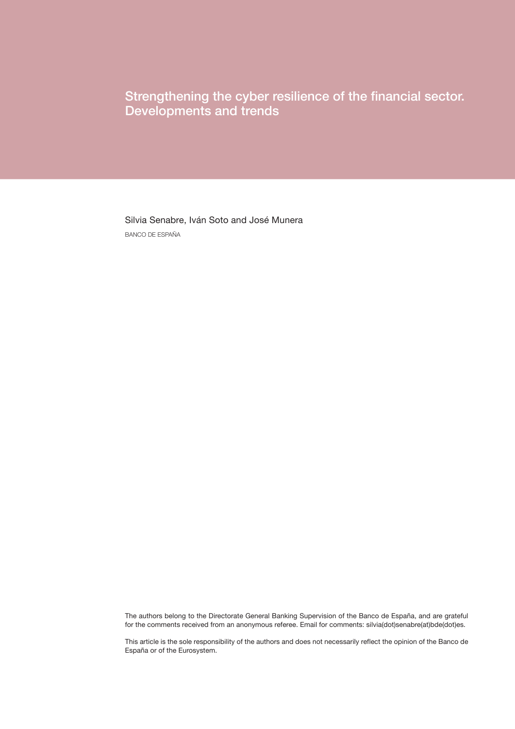Strengthening the cyber resilience of the financial sector. Developments and trends

Silvia Senabre, Iván Soto and José Munera BANCO DE ESPAÑA

The authors belong to the Directorate General Banking Supervision of the Banco de España, and are grateful for the comments received from an anonymous referee. Email for comments: silvia(dot)senabre(at)bde(dot)es.

This article is the sole responsibility of the authors and does not necessarily reflect the opinion of the Banco de España or of the Eurosystem.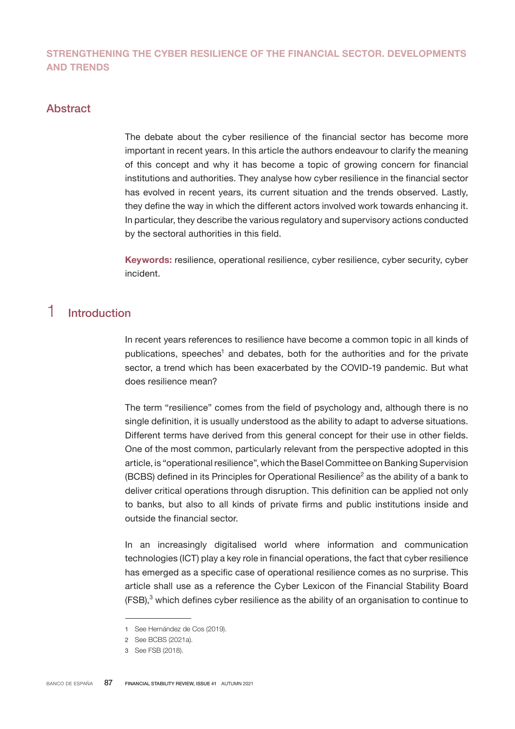## STRENGTHENING THE CYBER RESILIENCE OF THE FINANCIAL SECTOR. DEVELOPMENTS AND TRENDS

## Abstract

The debate about the cyber resilience of the financial sector has become more important in recent years. In this article the authors endeavour to clarify the meaning of this concept and why it has become a topic of growing concern for financial institutions and authorities. They analyse how cyber resilience in the financial sector has evolved in recent years, its current situation and the trends observed. Lastly, they define the way in which the different actors involved work towards enhancing it. In particular, they describe the various regulatory and supervisory actions conducted by the sectoral authorities in this field.

Keywords: resilience, operational resilience, cyber resilience, cyber security, cyber incident.

## 1 Introduction

In recent years references to resilience have become a common topic in all kinds of publications, speeches<sup>1</sup> and debates, both for the authorities and for the private sector, a trend which has been exacerbated by the COVID-19 pandemic. But what does resilience mean?

The term "resilience" comes from the field of psychology and, although there is no single definition, it is usually understood as the ability to adapt to adverse situations. Different terms have derived from this general concept for their use in other fields. One of the most common, particularly relevant from the perspective adopted in this article, is "operational resilience", which the Basel Committee on Banking Supervision (BCBS) defined in its Principles for Operational Resilience<sup>2</sup> as the ability of a bank to deliver critical operations through disruption. This definition can be applied not only to banks, but also to all kinds of private firms and public institutions inside and outside the financial sector.

In an increasingly digitalised world where information and communication technologies (ICT) play a key role in financial operations, the fact that cyber resilience has emerged as a specific case of operational resilience comes as no surprise. This article shall use as a reference the Cyber Lexicon of the Financial Stability Board  $(FSB)<sup>3</sup>$  which defines cyber resilience as the ability of an organisation to continue to

<sup>1</sup> See Hernández de Cos (2019).

<sup>2</sup> See BCBS (2021a).

<sup>3</sup> See FSB (2018).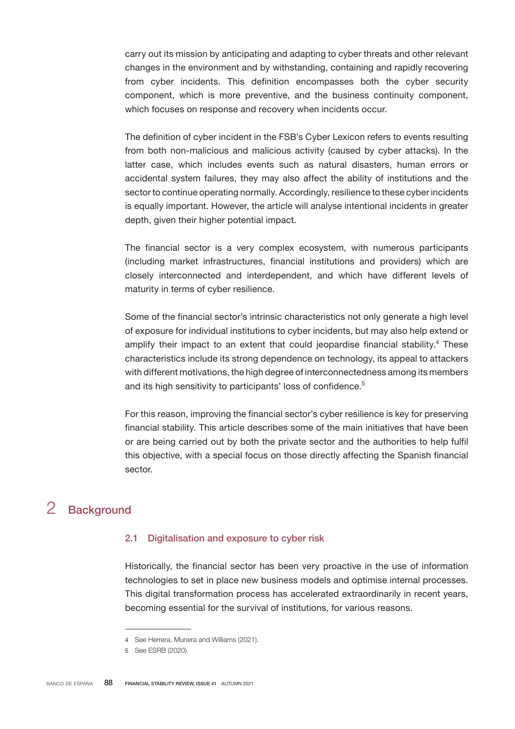carry out its mission by anticipating and adapting to cyber threats and other relevant changes in the environment and by withstanding, containing and rapidly recovering from cyber incidents. This definition encompasses both the cyber security component, which is more preventive, and the business continuity component, which focuses on response and recovery when incidents occur.

The definition of cyber incident in the FSB's Cyber Lexicon refers to events resulting from both non-malicious and malicious activity (caused by cyber attacks). In the latter case, which includes events such as natural disasters, human errors or accidental system failures, they may also affect the ability of institutions and the sector to continue operating normally. Accordingly, resilience to these cyber incidents is equally important. However, the article will analyse intentional incidents in greater depth, given their higher potential impact.

The financial sector is a very complex ecosystem, with numerous participants (including market infrastructures, financial institutions and providers) which are closely interconnected and interdependent, and which have different levels of maturity in terms of cyber resilience.

Some of the financial sector's intrinsic characteristics not only generate a high level of exposure for individual institutions to cyber incidents, but may also help extend or amplify their impact to an extent that could jeopardise financial stability.<sup>4</sup> These characteristics include its strong dependence on technology, its appeal to attackers with different motivations, the high degree of interconnectedness among its members and its high sensitivity to participants' loss of confidence.<sup>5</sup>

For this reason, improving the financial sector's cyber resilience is key for preserving financial stability. This article describes some of the main initiatives that have been or are being carried out by both the private sector and the authorities to help fulfil this objective, with a special focus on those directly affecting the Spanish financial sector.

# 2 Background

## 2.1 Digitalisation and exposure to cyber risk

Historically, the financial sector has been very proactive in the use of information technologies to set in place new business models and optimise internal processes. This digital transformation process has accelerated extraordinarily in recent years, becoming essential for the survival of institutions, for various reasons.

<sup>4</sup> See Herrera, Munera and Williams (2021).

<sup>5</sup> See ESRB (2020).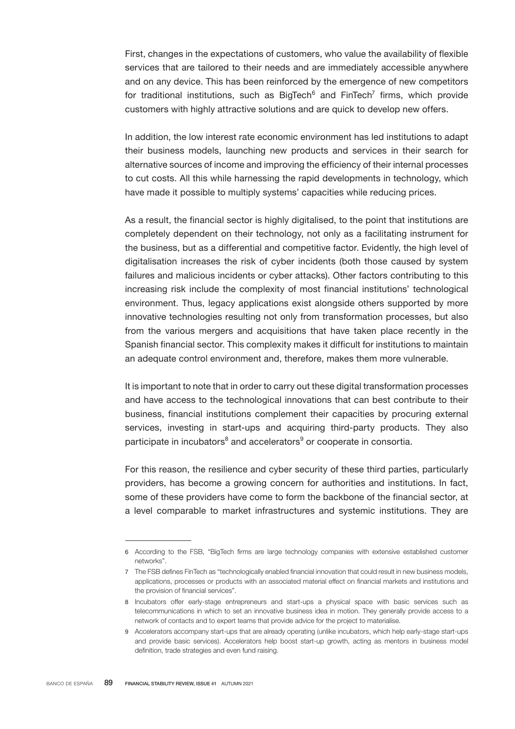First, changes in the expectations of customers, who value the availability of flexible services that are tailored to their needs and are immediately accessible anywhere and on any device. This has been reinforced by the emergence of new competitors for traditional institutions, such as BigTech $^6$  and FinTech<sup>7</sup> firms, which provide customers with highly attractive solutions and are quick to develop new offers.

In addition, the low interest rate economic environment has led institutions to adapt their business models, launching new products and services in their search for alternative sources of income and improving the efficiency of their internal processes to cut costs. All this while harnessing the rapid developments in technology, which have made it possible to multiply systems' capacities while reducing prices.

As a result, the financial sector is highly digitalised, to the point that institutions are completely dependent on their technology, not only as a facilitating instrument for the business, but as a differential and competitive factor. Evidently, the high level of digitalisation increases the risk of cyber incidents (both those caused by system failures and malicious incidents or cyber attacks). Other factors contributing to this increasing risk include the complexity of most financial institutions' technological environment. Thus, legacy applications exist alongside others supported by more innovative technologies resulting not only from transformation processes, but also from the various mergers and acquisitions that have taken place recently in the Spanish financial sector. This complexity makes it difficult for institutions to maintain an adequate control environment and, therefore, makes them more vulnerable.

It is important to note that in order to carry out these digital transformation processes and have access to the technological innovations that can best contribute to their business, financial institutions complement their capacities by procuring external services, investing in start-ups and acquiring third-party products. They also participate in incubators $^{\rm 8}$  and accelerators $^{\rm 9}$  or cooperate in consortia.

For this reason, the resilience and cyber security of these third parties, particularly providers, has become a growing concern for authorities and institutions. In fact, some of these providers have come to form the backbone of the financial sector, at a level comparable to market infrastructures and systemic institutions. They are

<sup>6</sup> According to the FSB, "BigTech firms are large technology companies with extensive established customer networks".

<sup>7</sup> The FSB defines FinTech as "technologically enabled financial innovation that could result in new business models, applications, processes or products with an associated material effect on financial markets and institutions and the provision of financial services".

<sup>8</sup> Incubators offer early-stage entrepreneurs and start-ups a physical space with basic services such as telecommunications in which to set an innovative business idea in motion. They generally provide access to a network of contacts and to expert teams that provide advice for the project to materialise.

<sup>9</sup> Accelerators accompany start-ups that are already operating (unlike incubators, which help early-stage start-ups and provide basic services). Accelerators help boost start-up growth, acting as mentors in business model definition, trade strategies and even fund raising.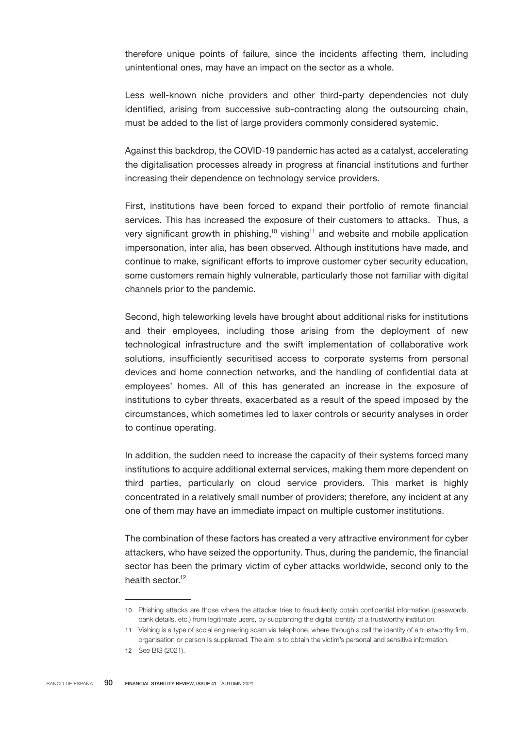therefore unique points of failure, since the incidents affecting them, including unintentional ones, may have an impact on the sector as a whole.

Less well-known niche providers and other third-party dependencies not duly identified, arising from successive sub-contracting along the outsourcing chain, must be added to the list of large providers commonly considered systemic.

Against this backdrop, the COVID-19 pandemic has acted as a catalyst, accelerating the digitalisation processes already in progress at financial institutions and further increasing their dependence on technology service providers.

First, institutions have been forced to expand their portfolio of remote financial services. This has increased the exposure of their customers to attacks. Thus, a very significant growth in phishing,<sup>10</sup> vishing<sup>11</sup> and website and mobile application impersonation, inter alia, has been observed. Although institutions have made, and continue to make, significant efforts to improve customer cyber security education, some customers remain highly vulnerable, particularly those not familiar with digital channels prior to the pandemic.

Second, high teleworking levels have brought about additional risks for institutions and their employees, including those arising from the deployment of new technological infrastructure and the swift implementation of collaborative work solutions, insufficiently securitised access to corporate systems from personal devices and home connection networks, and the handling of confidential data at employees' homes. All of this has generated an increase in the exposure of institutions to cyber threats, exacerbated as a result of the speed imposed by the circumstances, which sometimes led to laxer controls or security analyses in order to continue operating.

In addition, the sudden need to increase the capacity of their systems forced many institutions to acquire additional external services, making them more dependent on third parties, particularly on cloud service providers. This market is highly concentrated in a relatively small number of providers; therefore, any incident at any one of them may have an immediate impact on multiple customer institutions.

The combination of these factors has created a very attractive environment for cyber attackers, who have seized the opportunity. Thus, during the pandemic, the financial sector has been the primary victim of cyber attacks worldwide, second only to the health sector.<sup>12</sup>

<sup>10</sup> Phishing attacks are those where the attacker tries to fraudulently obtain confidential information (passwords, bank details, etc.) from legitimate users, by supplanting the digital identity of a trustworthy institution.

<sup>11</sup> Vishing is a type of social engineering scam via telephone, where through a call the identity of a trustworthy firm, organisation or person is supplanted. The aim is to obtain the victim's personal and sensitive information.

<sup>12</sup> See BIS (2021).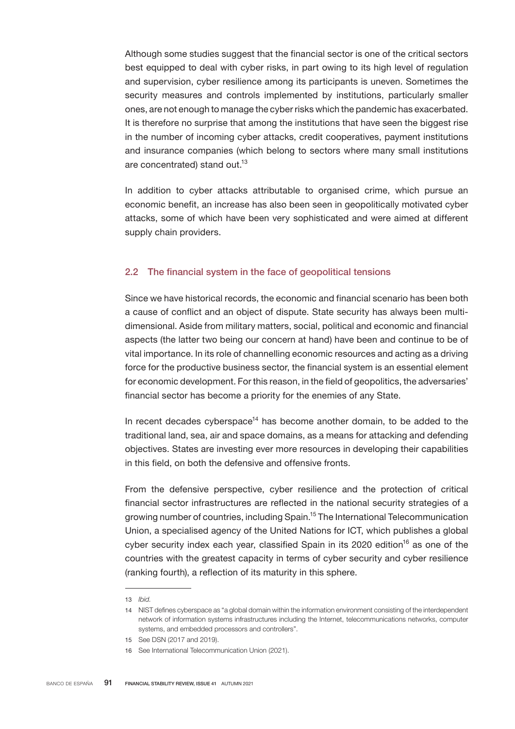Although some studies suggest that the financial sector is one of the critical sectors best equipped to deal with cyber risks, in part owing to its high level of regulation and supervision, cyber resilience among its participants is uneven. Sometimes the security measures and controls implemented by institutions, particularly smaller ones, are not enough to manage the cyber risks which the pandemic has exacerbated. It is therefore no surprise that among the institutions that have seen the biggest rise in the number of incoming cyber attacks, credit cooperatives, payment institutions and insurance companies (which belong to sectors where many small institutions are concentrated) stand out.<sup>13</sup>

In addition to cyber attacks attributable to organised crime, which pursue an economic benefit, an increase has also been seen in geopolitically motivated cyber attacks, some of which have been very sophisticated and were aimed at different supply chain providers.

### 2.2 The financial system in the face of geopolitical tensions

Since we have historical records, the economic and financial scenario has been both a cause of conflict and an object of dispute. State security has always been multidimensional. Aside from military matters, social, political and economic and financial aspects (the latter two being our concern at hand) have been and continue to be of vital importance. In its role of channelling economic resources and acting as a driving force for the productive business sector, the financial system is an essential element for economic development. For this reason, in the field of geopolitics, the adversaries' financial sector has become a priority for the enemies of any State.

In recent decades cyberspace<sup>14</sup> has become another domain, to be added to the traditional land, sea, air and space domains, as a means for attacking and defending objectives. States are investing ever more resources in developing their capabilities in this field, on both the defensive and offensive fronts.

From the defensive perspective, cyber resilience and the protection of critical financial sector infrastructures are reflected in the national security strategies of a growing number of countries, including Spain.<sup>15</sup> The International Telecommunication Union, a specialised agency of the United Nations for ICT, which publishes a global cyber security index each year, classified Spain in its 2020 edition<sup>16</sup> as one of the countries with the greatest capacity in terms of cyber security and cyber resilience (ranking fourth), a reflection of its maturity in this sphere.

<sup>13</sup> *Ibid.*

<sup>14</sup> NIST defines cyberspace as "a global domain within the information environment consisting of the interdependent network of information systems infrastructures including the Internet, telecommunications networks, computer systems, and embedded processors and controllers".

<sup>15</sup> See DSN (2017 and 2019).

<sup>16</sup> See International Telecommunication Union (2021).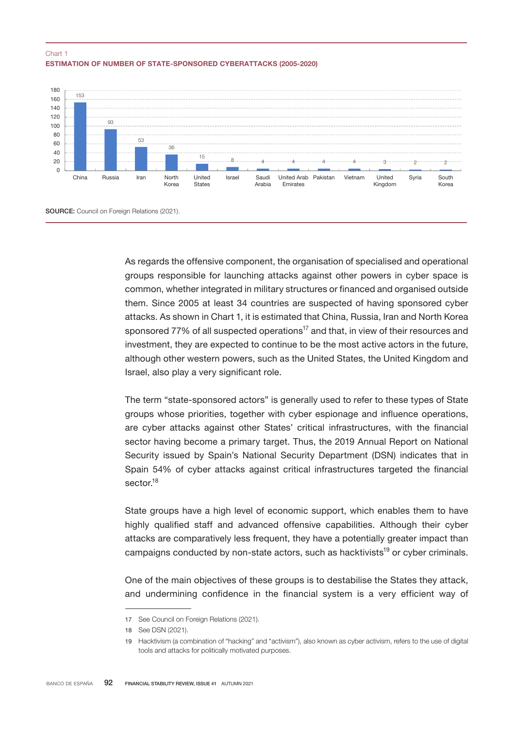## ESTIMATION OF NUMBER OF STATE-SPONSORED CYBERATTACKS (2005-2020) Chart 1



As regards the offensive component, the organisation of specialised and operational groups responsible for launching attacks against other powers in cyber space is common, whether integrated in military structures or financed and organised outside them. Since 2005 at least 34 countries are suspected of having sponsored cyber attacks. As shown in Chart 1, it is estimated that China, Russia, Iran and North Korea sponsored 77% of all suspected operations<sup>17</sup> and that, in view of their resources and investment, they are expected to continue to be the most active actors in the future, although other western powers, such as the United States, the United Kingdom and Israel, also play a very significant role.

The term "state-sponsored actors" is generally used to refer to these types of State groups whose priorities, together with cyber espionage and influence operations, are cyber attacks against other States' critical infrastructures, with the financial sector having become a primary target. Thus, the 2019 Annual Report on National Security issued by Spain's National Security Department (DSN) indicates that in Spain 54% of cyber attacks against critical infrastructures targeted the financial sector.<sup>18</sup>

State groups have a high level of economic support, which enables them to have highly qualified staff and advanced offensive capabilities. Although their cyber attacks are comparatively less frequent, they have a potentially greater impact than campaigns conducted by non-state actors, such as hacktivists<sup>19</sup> or cyber criminals.

One of the main objectives of these groups is to destabilise the States they attack, and undermining confidence in the financial system is a very efficient way of

<sup>17</sup> See Council on Foreign Relations (2021).

<sup>18</sup> See DSN (2021).

<sup>19</sup> Hacktivism (a combination of "hacking" and "activism"), also known as cyber activism, refers to the use of digital tools and attacks for politically motivated purposes.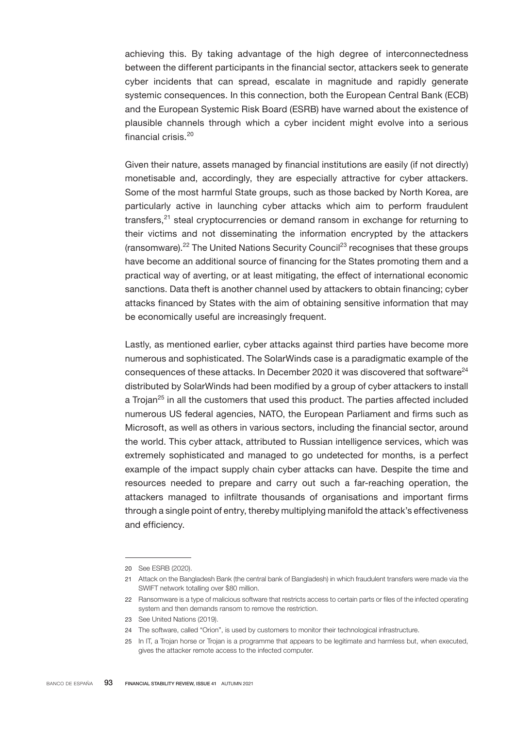achieving this. By taking advantage of the high degree of interconnectedness between the different participants in the financial sector, attackers seek to generate cyber incidents that can spread, escalate in magnitude and rapidly generate systemic consequences. In this connection, both the European Central Bank (ECB) and the European Systemic Risk Board (ESRB) have warned about the existence of plausible channels through which a cyber incident might evolve into a serious financial crisis.<sup>20</sup>

Given their nature, assets managed by financial institutions are easily (if not directly) monetisable and, accordingly, they are especially attractive for cyber attackers. Some of the most harmful State groups, such as those backed by North Korea, are particularly active in launching cyber attacks which aim to perform fraudulent transfers,<sup>21</sup> steal cryptocurrencies or demand ransom in exchange for returning to their victims and not disseminating the information encrypted by the attackers  $($ ransomware).<sup>22</sup> The United Nations Security Council<sup>23</sup> recognises that these groups have become an additional source of financing for the States promoting them and a practical way of averting, or at least mitigating, the effect of international economic sanctions. Data theft is another channel used by attackers to obtain financing; cyber attacks financed by States with the aim of obtaining sensitive information that may be economically useful are increasingly frequent.

Lastly, as mentioned earlier, cyber attacks against third parties have become more numerous and sophisticated. The SolarWinds case is a paradigmatic example of the consequences of these attacks. In December 2020 it was discovered that software<sup>24</sup> distributed by SolarWinds had been modified by a group of cyber attackers to install a Trojan<sup>25</sup> in all the customers that used this product. The parties affected included numerous US federal agencies, NATO, the European Parliament and firms such as Microsoft, as well as others in various sectors, including the financial sector, around the world. This cyber attack, attributed to Russian intelligence services, which was extremely sophisticated and managed to go undetected for months, is a perfect example of the impact supply chain cyber attacks can have. Despite the time and resources needed to prepare and carry out such a far-reaching operation, the attackers managed to infiltrate thousands of organisations and important firms through a single point of entry, thereby multiplying manifold the attack's effectiveness and efficiency.

<sup>20</sup> See ESRB (2020).

<sup>21</sup> Attack on the Bangladesh Bank (the central bank of Bangladesh) in which fraudulent transfers were made via the SWIFT network totalling over \$80 million.

<sup>22</sup> Ransomware is a type of malicious software that restricts access to certain parts or files of the infected operating system and then demands ransom to remove the restriction.

<sup>23</sup> See United Nations (2019).

<sup>24</sup> The software, called "Orion", is used by customers to monitor their technological infrastructure.

<sup>25</sup> In IT, a Trojan horse or Trojan is a programme that appears to be legitimate and harmless but, when executed, gives the attacker remote access to the infected computer.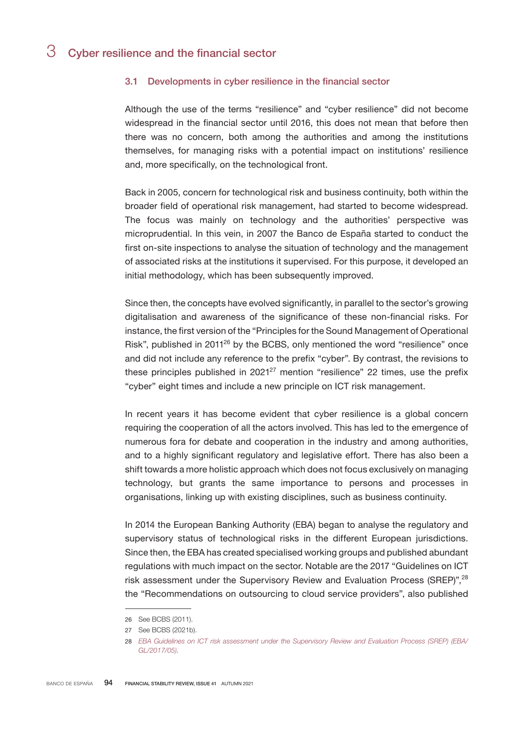## 3 Cyber resilience and the financial sector

### 3.1 Developments in cyber resilience in the financial sector

Although the use of the terms "resilience" and "cyber resilience" did not become widespread in the financial sector until 2016, this does not mean that before then there was no concern, both among the authorities and among the institutions themselves, for managing risks with a potential impact on institutions' resilience and, more specifically, on the technological front.

Back in 2005, concern for technological risk and business continuity, both within the broader field of operational risk management, had started to become widespread. The focus was mainly on technology and the authorities' perspective was microprudential. In this vein, in 2007 the Banco de España started to conduct the first on-site inspections to analyse the situation of technology and the management of associated risks at the institutions it supervised. For this purpose, it developed an initial methodology, which has been subsequently improved.

Since then, the concepts have evolved significantly, in parallel to the sector's growing digitalisation and awareness of the significance of these non-financial risks. For instance, the first version of the "Principles for the Sound Management of Operational Risk", published in 2011<sup>26</sup> by the BCBS, only mentioned the word "resilience" once and did not include any reference to the prefix "cyber". By contrast, the revisions to these principles published in  $2021^{27}$  mention "resilience" 22 times, use the prefix "cyber" eight times and include a new principle on ICT risk management.

In recent years it has become evident that cyber resilience is a global concern requiring the cooperation of all the actors involved. This has led to the emergence of numerous fora for debate and cooperation in the industry and among authorities, and to a highly significant regulatory and legislative effort. There has also been a shift towards a more holistic approach which does not focus exclusively on managing technology, but grants the same importance to persons and processes in organisations, linking up with existing disciplines, such as business continuity.

In 2014 the European Banking Authority (EBA) began to analyse the regulatory and supervisory status of technological risks in the different European jurisdictions. Since then, the EBA has created specialised working groups and published abundant regulations with much impact on the sector. Notable are the 2017 "Guidelines on ICT risk assessment under the Supervisory Review and Evaluation Process (SREP)",<sup>28</sup> the "Recommendations on outsourcing to cloud service providers", also published

<sup>26</sup> See BCBS (2011).

<sup>27</sup> See BCBS (2021b).

<sup>28</sup> *[EBA Guidelines on ICT risk assessment under the Supervisory Review and Evaluation Process](https://www.eba.europa.eu/sites/default/documents/files/documents/10180/1954038/0d11223d-d682-4bd9-bb82-72b81ba6282e/Guidelines%20on%20ICT%20Risk%20Assessment%20under%20SREP%20%28EBA-GL-2017-05%29_EN.pdf?retry=1) [\(SREP\) \(EBA/](https://www.eba.europa.eu/sites/default/documents/files/documents/10180/1954038/0d11223d-d682-4bd9-bb82-72b81ba6282e/Guidelines%20on%20ICT%20Risk%20Assessment%20under%20SREP%20%28EBA-GL-2017-05%29_EN.pdf?retry=1) [GL/2017/05\)](https://www.eba.europa.eu/sites/default/documents/files/documents/10180/1954038/0d11223d-d682-4bd9-bb82-72b81ba6282e/Guidelines%20on%20ICT%20Risk%20Assessment%20under%20SREP%20%28EBA-GL-2017-05%29_EN.pdf?retry=1).*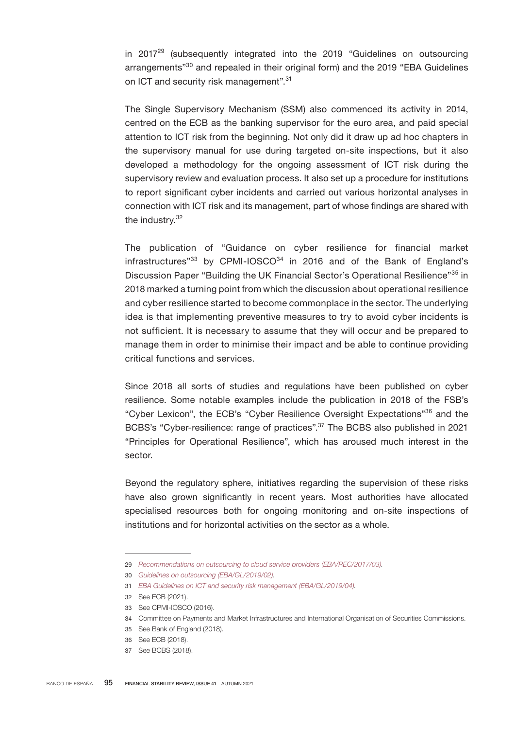in 2017<sup>29</sup> (subsequently integrated into the 2019 "Guidelines on outsourcing arrangements"<sup>30</sup> and repealed in their original form) and the 2019 "EBA Guidelines on ICT and security risk management".<sup>31</sup>

The Single Supervisory Mechanism (SSM) also commenced its activity in 2014, centred on the ECB as the banking supervisor for the euro area, and paid special attention to ICT risk from the beginning. Not only did it draw up ad hoc chapters in the supervisory manual for use during targeted on-site inspections, but it also developed a methodology for the ongoing assessment of ICT risk during the supervisory review and evaluation process. It also set up a procedure for institutions to report significant cyber incidents and carried out various horizontal analyses in connection with ICT risk and its management, part of whose findings are shared with the industry.<sup>32</sup>

The publication of "Guidance on cyber resilience for financial market infrastructures" $33$  by CPMI-IOSCO $34$  in 2016 and of the Bank of England's Discussion Paper "Building the UK Financial Sector's Operational Resilience"35 in 2018 marked a turning point from which the discussion about operational resilience and cyber resilience started to become commonplace in the sector. The underlying idea is that implementing preventive measures to try to avoid cyber incidents is not sufficient. It is necessary to assume that they will occur and be prepared to manage them in order to minimise their impact and be able to continue providing critical functions and services.

Since 2018 all sorts of studies and regulations have been published on cyber resilience. Some notable examples include the publication in 2018 of the FSB's "Cyber Lexicon", the ECB's "Cyber Resilience Oversight Expectations"36 and the BCBS's "Cyber-resilience: range of practices".<sup>37</sup> The BCBS also published in 2021 "Principles for Operational Resilience", which has aroused much interest in the sector.

Beyond the regulatory sphere, initiatives regarding the supervision of these risks have also grown significantly in recent years. Most authorities have allocated specialised resources both for ongoing monitoring and on-site inspections of institutions and for horizontal activities on the sector as a whole.

<sup>29</sup> *[Recommendations on outsourcing to cloud service providers \(EBA/](https://www.eba.europa.eu/sites/default/documents/files/documents/10180/2170125/e02bef01-3e00-4d81-b549-4981a8fb2f1e/Recommendations%20on%20Cloud%20Outsourcing%20%28EBA-Rec-2017-03%29_EN.pdf?retry=1)*[REC/2017/03\)](https://www.eba.europa.eu/sites/default/documents/files/documents/10180/2170125/e02bef01-3e00-4d81-b549-4981a8fb2f1e/Recommendations%20on%20Cloud%20Outsourcing%20%28EBA-Rec-2017-03%29_EN.pdf?retry=1)*.*

<sup>30</sup> *[Guidelines on outsourcing \(EBA/GL/2019/02\).](https://www.eba.europa.eu/sites/default/documents/files/documents/10180/2551996/38c80601-f5d7-4855-8ba3-702423665479/EBA%20revised%20Guidelines%20on%20outsourcing%20arrangements.pdf?retry=1)*

<sup>31</sup> *[EBA Guidelines on ICT and security risk management \(EBA/GL/2019/04\).](https://www.eba.europa.eu/sites/default/documents/files/document_library/Publications/Guidelines/2020/GLs%20on%20ICT%20and%20security%20risk%20management/872936/Final%20draft%20Guidelines%20on%20ICT%20and%20security%20risk%20management.pdf)*

<sup>32</sup> See ECB (2021).

<sup>33</sup> See CPMI-IOSCO (2016).

<sup>34</sup> Committee on Payments and Market Infrastructures and International Organisation of Securities Commissions.

<sup>35</sup> See Bank of England (2018).

<sup>36</sup> See ECB (2018).

<sup>37</sup> See BCBS (2018).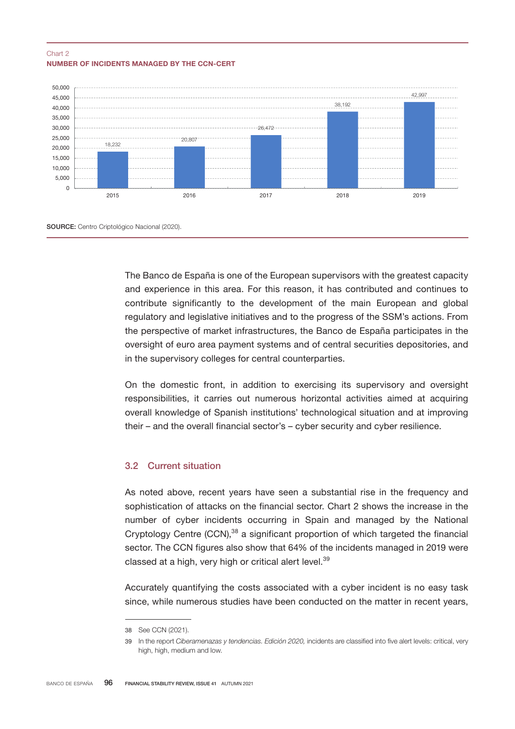#### NUMBER OF INCIDENTS MANAGED BY THE CCN-CERT Chart 2



The Banco de España is one of the European supervisors with the greatest capacity and experience in this area. For this reason, it has contributed and continues to contribute significantly to the development of the main European and global regulatory and legislative initiatives and to the progress of the SSM's actions. From the perspective of market infrastructures, the Banco de España participates in the oversight of euro area payment systems and of central securities depositories, and in the supervisory colleges for central counterparties.

On the domestic front, in addition to exercising its supervisory and oversight responsibilities, it carries out numerous horizontal activities aimed at acquiring overall knowledge of Spanish institutions' technological situation and at improving their – and the overall financial sector's – cyber security and cyber resilience.

## 3.2 Current situation

As noted above, recent years have seen a substantial rise in the frequency and sophistication of attacks on the financial sector. Chart 2 shows the increase in the number of cyber incidents occurring in Spain and managed by the National Cryptology Centre (CCN),<sup>38</sup> a significant proportion of which targeted the financial sector. The CCN figures also show that 64% of the incidents managed in 2019 were classed at a high, very high or critical alert level.<sup>39</sup>

Accurately quantifying the costs associated with a cyber incident is no easy task since, while numerous studies have been conducted on the matter in recent years,

<sup>38</sup> See CCN (2021).

<sup>39</sup> In the report *Ciberamenazas y tendencias. Edición 2020,* incidents are classified into five alert levels: critical, very high, high, medium and low.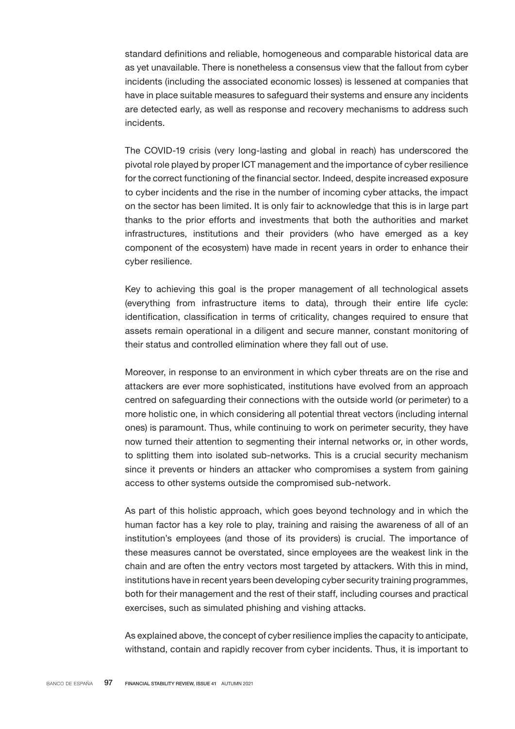standard definitions and reliable, homogeneous and comparable historical data are as yet unavailable. There is nonetheless a consensus view that the fallout from cyber incidents (including the associated economic losses) is lessened at companies that have in place suitable measures to safeguard their systems and ensure any incidents are detected early, as well as response and recovery mechanisms to address such incidents.

The COVID-19 crisis (very long-lasting and global in reach) has underscored the pivotal role played by proper ICT management and the importance of cyber resilience for the correct functioning of the financial sector. Indeed, despite increased exposure to cyber incidents and the rise in the number of incoming cyber attacks, the impact on the sector has been limited. It is only fair to acknowledge that this is in large part thanks to the prior efforts and investments that both the authorities and market infrastructures, institutions and their providers (who have emerged as a key component of the ecosystem) have made in recent years in order to enhance their cyber resilience.

Key to achieving this goal is the proper management of all technological assets (everything from infrastructure items to data), through their entire life cycle: identification, classification in terms of criticality, changes required to ensure that assets remain operational in a diligent and secure manner, constant monitoring of their status and controlled elimination where they fall out of use.

Moreover, in response to an environment in which cyber threats are on the rise and attackers are ever more sophisticated, institutions have evolved from an approach centred on safeguarding their connections with the outside world (or perimeter) to a more holistic one, in which considering all potential threat vectors (including internal ones) is paramount. Thus, while continuing to work on perimeter security, they have now turned their attention to segmenting their internal networks or, in other words, to splitting them into isolated sub-networks. This is a crucial security mechanism since it prevents or hinders an attacker who compromises a system from gaining access to other systems outside the compromised sub-network.

As part of this holistic approach, which goes beyond technology and in which the human factor has a key role to play, training and raising the awareness of all of an institution's employees (and those of its providers) is crucial. The importance of these measures cannot be overstated, since employees are the weakest link in the chain and are often the entry vectors most targeted by attackers. With this in mind, institutions have in recent years been developing cyber security training programmes, both for their management and the rest of their staff, including courses and practical exercises, such as simulated phishing and vishing attacks.

As explained above, the concept of cyber resilience implies the capacity to anticipate, withstand, contain and rapidly recover from cyber incidents. Thus, it is important to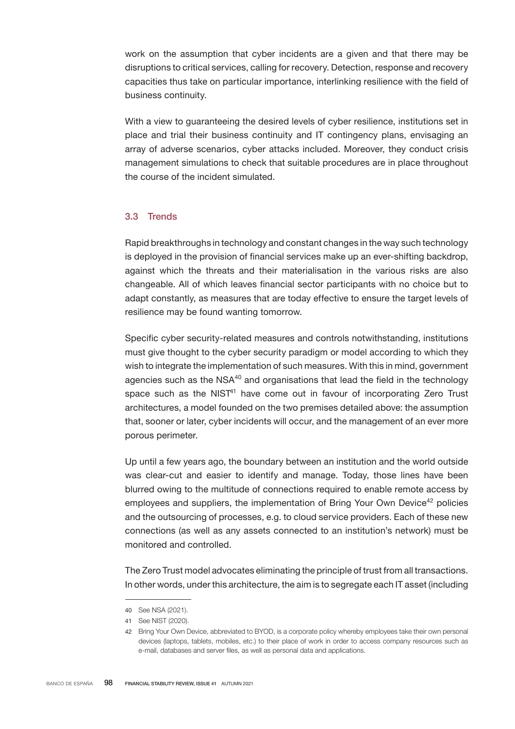work on the assumption that cyber incidents are a given and that there may be disruptions to critical services, calling for recovery. Detection, response and recovery capacities thus take on particular importance, interlinking resilience with the field of business continuity.

With a view to guaranteeing the desired levels of cyber resilience, institutions set in place and trial their business continuity and IT contingency plans, envisaging an array of adverse scenarios, cyber attacks included. Moreover, they conduct crisis management simulations to check that suitable procedures are in place throughout the course of the incident simulated.

## 3.3 Trends

Rapid breakthroughs in technology and constant changes in the way such technology is deployed in the provision of financial services make up an ever-shifting backdrop, against which the threats and their materialisation in the various risks are also changeable. All of which leaves financial sector participants with no choice but to adapt constantly, as measures that are today effective to ensure the target levels of resilience may be found wanting tomorrow.

Specific cyber security-related measures and controls notwithstanding, institutions must give thought to the cyber security paradigm or model according to which they wish to integrate the implementation of such measures. With this in mind, government agencies such as the  $NSA^{40}$  and organisations that lead the field in the technology space such as the NIST<sup>41</sup> have come out in favour of incorporating Zero Trust architectures, a model founded on the two premises detailed above: the assumption that, sooner or later, cyber incidents will occur, and the management of an ever more porous perimeter.

Up until a few years ago, the boundary between an institution and the world outside was clear-cut and easier to identify and manage. Today, those lines have been blurred owing to the multitude of connections required to enable remote access by employees and suppliers, the implementation of Bring Your Own Device<sup>42</sup> policies and the outsourcing of processes, e.g. to cloud service providers. Each of these new connections (as well as any assets connected to an institution's network) must be monitored and controlled.

The Zero Trust model advocates eliminating the principle of trust from all transactions. In other words, under this architecture, the aim is to segregate each IT asset (including

<sup>40</sup> See NSA (2021).

<sup>41</sup> See NIST (2020).

<sup>42</sup> Bring Your Own Device, abbreviated to BYOD, is a corporate policy whereby employees take their own personal devices (laptops, tablets, mobiles, etc.) to their place of work in order to access company resources such as e-mail, databases and server files, as well as personal data and applications.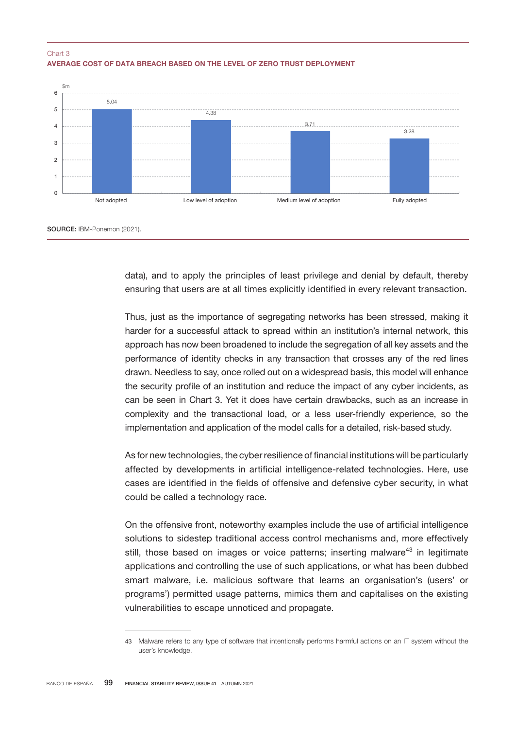



data), and to apply the principles of least privilege and denial by default, thereby ensuring that users are at all times explicitly identified in every relevant transaction.

Thus, just as the importance of segregating networks has been stressed, making it harder for a successful attack to spread within an institution's internal network, this approach has now been broadened to include the segregation of all key assets and the performance of identity checks in any transaction that crosses any of the red lines drawn. Needless to say, once rolled out on a widespread basis, this model will enhance the security profile of an institution and reduce the impact of any cyber incidents, as can be seen in Chart 3. Yet it does have certain drawbacks, such as an increase in complexity and the transactional load, or a less user-friendly experience, so the implementation and application of the model calls for a detailed, risk-based study.

As for new technologies, the cyber resilience of financial institutions will be particularly affected by developments in artificial intelligence-related technologies. Here, use cases are identified in the fields of offensive and defensive cyber security, in what could be called a technology race.

On the offensive front, noteworthy examples include the use of artificial intelligence solutions to sidestep traditional access control mechanisms and, more effectively still, those based on images or voice patterns; inserting malware<sup>43</sup> in legitimate applications and controlling the use of such applications, or what has been dubbed smart malware, i.e. malicious software that learns an organisation's (users' or programs') permitted usage patterns, mimics them and capitalises on the existing vulnerabilities to escape unnoticed and propagate.

<sup>43</sup> Malware refers to any type of software that intentionally performs harmful actions on an IT system without the user's knowledge.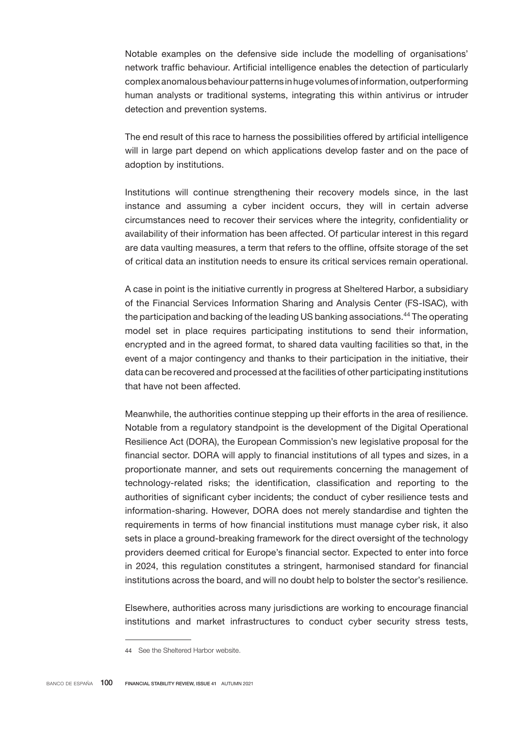Notable examples on the defensive side include the modelling of organisations' network traffic behaviour. Artificial intelligence enables the detection of particularly complex anomalous behaviour patterns in huge volumes of information, outperforming human analysts or traditional systems, integrating this within antivirus or intruder detection and prevention systems.

The end result of this race to harness the possibilities offered by artificial intelligence will in large part depend on which applications develop faster and on the pace of adoption by institutions.

Institutions will continue strengthening their recovery models since, in the last instance and assuming a cyber incident occurs, they will in certain adverse circumstances need to recover their services where the integrity, confidentiality or availability of their information has been affected. Of particular interest in this regard are data vaulting measures, a term that refers to the offline, offsite storage of the set of critical data an institution needs to ensure its critical services remain operational.

A case in point is the initiative currently in progress at Sheltered Harbor, a subsidiary of the Financial Services Information Sharing and Analysis Center (FS-ISAC), with the participation and backing of the leading US banking associations.<sup>44</sup> The operating model set in place requires participating institutions to send their information, encrypted and in the agreed format, to shared data vaulting facilities so that, in the event of a major contingency and thanks to their participation in the initiative, their data can be recovered and processed at the facilities of other participating institutions that have not been affected.

Meanwhile, the authorities continue stepping up their efforts in the area of resilience. Notable from a regulatory standpoint is the development of the Digital Operational Resilience Act (DORA), the European Commission's new legislative proposal for the financial sector. DORA will apply to financial institutions of all types and sizes, in a proportionate manner, and sets out requirements concerning the management of technology-related risks; the identification, classification and reporting to the authorities of significant cyber incidents; the conduct of cyber resilience tests and information-sharing. However, DORA does not merely standardise and tighten the requirements in terms of how financial institutions must manage cyber risk, it also sets in place a ground-breaking framework for the direct oversight of the technology providers deemed critical for Europe's financial sector. Expected to enter into force in 2024, this regulation constitutes a stringent, harmonised standard for financial institutions across the board, and will no doubt help to bolster the sector's resilience.

Elsewhere, authorities across many jurisdictions are working to encourage financial institutions and market infrastructures to conduct cyber security stress tests,

<sup>44</sup> See the Sheltered Harbor website.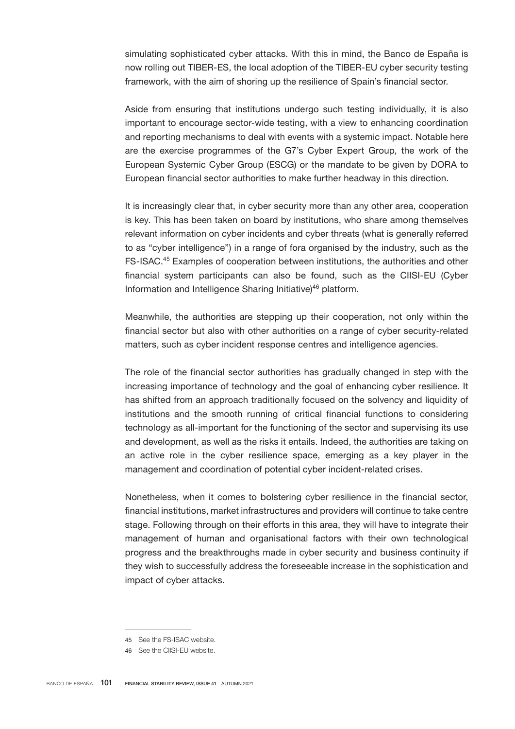simulating sophisticated cyber attacks. With this in mind, the Banco de España is now rolling out TIBER-ES, the local adoption of the TIBER-EU cyber security testing framework, with the aim of shoring up the resilience of Spain's financial sector.

Aside from ensuring that institutions undergo such testing individually, it is also important to encourage sector-wide testing, with a view to enhancing coordination and reporting mechanisms to deal with events with a systemic impact. Notable here are the exercise programmes of the G7's Cyber Expert Group, the work of the European Systemic Cyber Group (ESCG) or the mandate to be given by DORA to European financial sector authorities to make further headway in this direction.

It is increasingly clear that, in cyber security more than any other area, cooperation is key. This has been taken on board by institutions, who share among themselves relevant information on cyber incidents and cyber threats (what is generally referred to as "cyber intelligence") in a range of fora organised by the industry, such as the FS-ISAC.<sup>45</sup> Examples of cooperation between institutions, the authorities and other financial system participants can also be found, such as the CIISI-EU (Cyber Information and Intelligence Sharing Initiative)<sup>46</sup> platform.

Meanwhile, the authorities are stepping up their cooperation, not only within the financial sector but also with other authorities on a range of cyber security-related matters, such as cyber incident response centres and intelligence agencies.

The role of the financial sector authorities has gradually changed in step with the increasing importance of technology and the goal of enhancing cyber resilience. It has shifted from an approach traditionally focused on the solvency and liquidity of institutions and the smooth running of critical financial functions to considering technology as all-important for the functioning of the sector and supervising its use and development, as well as the risks it entails. Indeed, the authorities are taking on an active role in the cyber resilience space, emerging as a key player in the management and coordination of potential cyber incident-related crises.

Nonetheless, when it comes to bolstering cyber resilience in the financial sector, financial institutions, market infrastructures and providers will continue to take centre stage. Following through on their efforts in this area, they will have to integrate their management of human and organisational factors with their own technological progress and the breakthroughs made in cyber security and business continuity if they wish to successfully address the foreseeable increase in the sophistication and impact of cyber attacks.

<sup>45</sup> See the [FS-ISAC website](https://www.fsisac.com/).

<sup>46</sup> See the [CIISI-EU website.](https://www.ecb.europa.eu/paym/groups/euro-cyber-board/html/index.en.html)